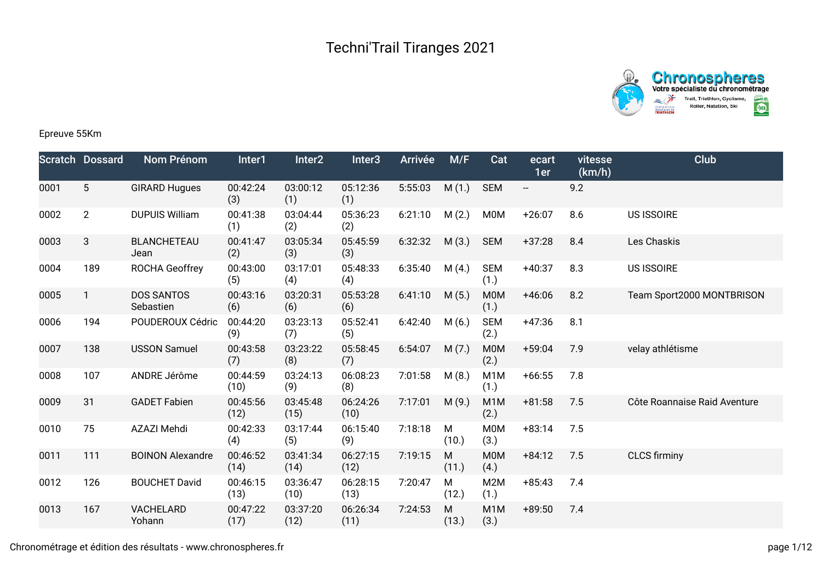



## Epreuve 55Km

|      | <b>Scratch Dossard</b> | Nom Prénom                     | Inter1           | Inter <sub>2</sub> | Inter <sub>3</sub> | <b>Arrivée</b> | M/F                | Cat                      | ecart<br>1er             | vitesse<br>(km/h) | Club                         |
|------|------------------------|--------------------------------|------------------|--------------------|--------------------|----------------|--------------------|--------------------------|--------------------------|-------------------|------------------------------|
| 0001 | $5\,$                  | <b>GIRARD Hugues</b>           | 00:42:24<br>(3)  | 03:00:12<br>(1)    | 05:12:36<br>(1)    | 5:55:03        | M(1.)              | <b>SEM</b>               | $\overline{\phantom{a}}$ | 9.2               |                              |
| 0002 | $\overline{2}$         | <b>DUPUIS William</b>          | 00:41:38<br>(1)  | 03:04:44<br>(2)    | 05:36:23<br>(2)    | 6:21:10        | M(2.)              | <b>M0M</b>               | $+26:07$                 | 8.6               | <b>US ISSOIRE</b>            |
| 0003 | 3                      | <b>BLANCHETEAU</b><br>Jean     | 00:41:47<br>(2)  | 03:05:34<br>(3)    | 05:45:59<br>(3)    | 6:32:32        | M(3.)              | <b>SEM</b>               | $+37:28$                 | 8.4               | Les Chaskis                  |
| 0004 | 189                    | <b>ROCHA Geoffrey</b>          | 00:43:00<br>(5)  | 03:17:01<br>(4)    | 05:48:33<br>(4)    | 6:35:40        | M(4.)              | <b>SEM</b><br>(1.)       | $+40:37$                 | 8.3               | <b>US ISSOIRE</b>            |
| 0005 | 1                      | <b>DOS SANTOS</b><br>Sebastien | 00:43:16<br>(6)  | 03:20:31<br>(6)    | 05:53:28<br>(6)    | 6:41:10        | M(5.)              | M0M<br>(1.)              | $+46:06$                 | 8.2               | Team Sport2000 MONTBRISON    |
| 0006 | 194                    | POUDEROUX Cédric               | 00:44:20<br>(9)  | 03:23:13<br>(7)    | 05:52:41<br>(5)    | 6:42:40        | M(6.)              | <b>SEM</b><br>(2.)       | $+47:36$                 | 8.1               |                              |
| 0007 | 138                    | <b>USSON Samuel</b>            | 00:43:58<br>(7)  | 03:23:22<br>(8)    | 05:58:45<br>(7)    | 6:54:07        | M(7.)              | M0M<br>(2.)              | $+59:04$                 | 7.9               | velay athlétisme             |
| 0008 | 107                    | ANDRE Jérôme                   | 00:44:59<br>(10) | 03:24:13<br>(9)    | 06:08:23<br>(8)    | 7:01:58        | M(8.)              | M <sub>1</sub> M<br>(1.) | $+66:55$                 | 7.8               |                              |
| 0009 | 31                     | <b>GADET Fabien</b>            | 00:45:56<br>(12) | 03:45:48<br>(15)   | 06:24:26<br>(10)   | 7:17:01        | M(9.)              | M <sub>1</sub> M<br>(2.) | $+81:58$                 | 7.5               | Côte Roannaise Raid Aventure |
| 0010 | 75                     | AZAZI Mehdi                    | 00:42:33<br>(4)  | 03:17:44<br>(5)    | 06:15:40<br>(9)    | 7:18:18        | M<br>(10.)         | <b>M0M</b><br>(3.)       | $+83:14$                 | 7.5               |                              |
| 0011 | 111                    | <b>BOINON Alexandre</b>        | 00:46:52<br>(14) | 03:41:34<br>(14)   | 06:27:15<br>(12)   | 7:19:15        | M<br>(11.)         | M0M<br>(4.)              | $+84:12$                 | 7.5               | <b>CLCS firminy</b>          |
| 0012 | 126                    | <b>BOUCHET David</b>           | 00:46:15<br>(13) | 03:36:47<br>(10)   | 06:28:15<br>(13)   | 7:20:47        | M<br>(12.)         | M2M<br>(1.)              | $+85:43$                 | 7.4               |                              |
| 0013 | 167                    | VACHELARD<br>Yohann            | 00:47:22<br>(17) | 03:37:20<br>(12)   | 06:26:34<br>(11)   | 7:24:53        | ${\sf M}$<br>(13.) | M <sub>1</sub> M<br>(3.) | $+89:50$                 | 7.4               |                              |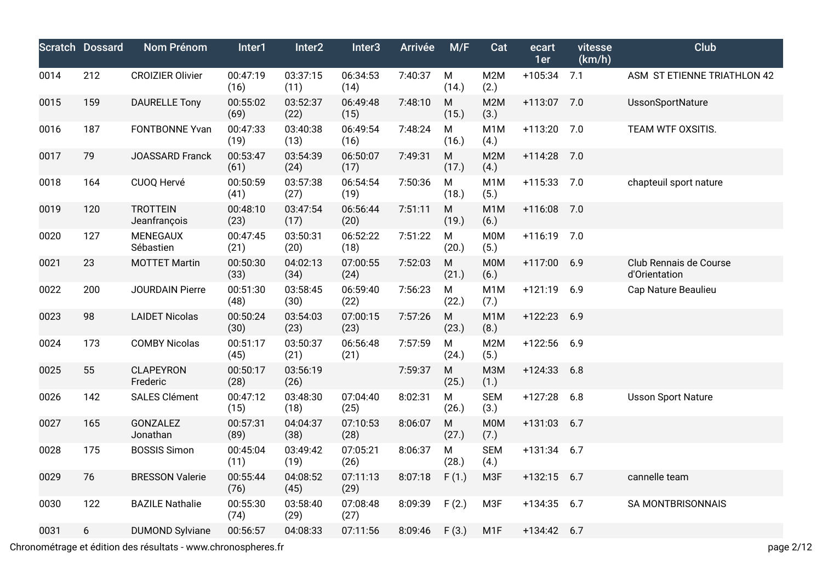|      | <b>Scratch Dossard</b> | <b>Nom Prénom</b>               | Inter1           | Inter2           | Inter <sub>3</sub> | <b>Arrivée</b> | M/F                | Cat                      | ecart<br>1er  | vitesse<br>(km/h) | Club                                    |
|------|------------------------|---------------------------------|------------------|------------------|--------------------|----------------|--------------------|--------------------------|---------------|-------------------|-----------------------------------------|
| 0014 | 212                    | <b>CROIZIER Olivier</b>         | 00:47:19<br>(16) | 03:37:15<br>(11) | 06:34:53<br>(14)   | 7:40:37        | M<br>(14.)         | M2M<br>(2.)              | $+105:34$ 7.1 |                   | ASM ST ETIENNE TRIATHLON 42             |
| 0015 | 159                    | <b>DAURELLE Tony</b>            | 00:55:02<br>(69) | 03:52:37<br>(22) | 06:49:48<br>(15)   | 7:48:10        | ${\sf M}$<br>(15.) | M2M<br>(3.)              | $+113:07$     | 7.0               | UssonSportNature                        |
| 0016 | 187                    | <b>FONTBONNE Yvan</b>           | 00:47:33<br>(19) | 03:40:38<br>(13) | 06:49:54<br>(16)   | 7:48:24        | M<br>(16.)         | M <sub>1</sub> M<br>(4.) | $+113:20$     | 7.0               | TEAM WTF OXSITIS.                       |
| 0017 | 79                     | JOASSARD Franck                 | 00:53:47<br>(61) | 03:54:39<br>(24) | 06:50:07<br>(17)   | 7:49:31        | M<br>(17.)         | M2M<br>(4.)              | $+114:28$     | 7.0               |                                         |
| 0018 | 164                    | CUOQ Hervé                      | 00:50:59<br>(41) | 03:57:38<br>(27) | 06:54:54<br>(19)   | 7:50:36        | M<br>(18.)         | M <sub>1</sub> M<br>(5.) | $+115:33$     | 7.0               | chapteuil sport nature                  |
| 0019 | 120                    | <b>TROTTEIN</b><br>Jeanfrançois | 00:48:10<br>(23) | 03:47:54<br>(17) | 06:56:44<br>(20)   | 7:51:11        | ${\sf M}$<br>(19.) | M <sub>1</sub> M<br>(6.) | $+116:08$     | 7.0               |                                         |
| 0020 | 127                    | <b>MENEGAUX</b><br>Sébastien    | 00:47:45<br>(21) | 03:50:31<br>(20) | 06:52:22<br>(18)   | 7:51:22        | M<br>(20.)         | <b>M0M</b><br>(5.)       | $+116:19$     | 7.0               |                                         |
| 0021 | 23                     | <b>MOTTET Martin</b>            | 00:50:30<br>(33) | 04:02:13<br>(34) | 07:00:55<br>(24)   | 7:52:03        | ${\sf M}$<br>(21.) | <b>M0M</b><br>(6.)       | $+117:00$     | 6.9               | Club Rennais de Course<br>d'Orientation |
| 0022 | 200                    | <b>JOURDAIN Pierre</b>          | 00:51:30<br>(48) | 03:58:45<br>(30) | 06:59:40<br>(22)   | 7:56:23        | M<br>(22.)         | M <sub>1</sub> M<br>(7.) | $+121:19$     | 6.9               | Cap Nature Beaulieu                     |
| 0023 | 98                     | <b>LAIDET Nicolas</b>           | 00:50:24<br>(30) | 03:54:03<br>(23) | 07:00:15<br>(23)   | 7:57:26        | M<br>(23.)         | M <sub>1</sub> M<br>(8.) | $+122:23$     | 6.9               |                                         |
| 0024 | 173                    | <b>COMBY Nicolas</b>            | 00:51:17<br>(45) | 03:50:37<br>(21) | 06:56:48<br>(21)   | 7:57:59        | M<br>(24.)         | M2M<br>(5.)              | $+122:56$     | 6.9               |                                         |
| 0025 | 55                     | <b>CLAPEYRON</b><br>Frederic    | 00:50:17<br>(28) | 03:56:19<br>(26) |                    | 7:59:37        | M<br>(25.)         | <b>M3M</b><br>(1.)       | $+124:33$     | 6.8               |                                         |
| 0026 | 142                    | <b>SALES Clément</b>            | 00:47:12<br>(15) | 03:48:30<br>(18) | 07:04:40<br>(25)   | 8:02:31        | M<br>(26.)         | <b>SEM</b><br>(3.)       | $+127:28$     | 6.8               | <b>Usson Sport Nature</b>               |
| 0027 | 165                    | GONZALEZ<br>Jonathan            | 00:57:31<br>(89) | 04:04:37<br>(38) | 07:10:53<br>(28)   | 8:06:07        | M<br>(27.)         | <b>M0M</b><br>(7.)       | $+131:03$     | 6.7               |                                         |
| 0028 | 175                    | <b>BOSSIS Simon</b>             | 00:45:04<br>(11) | 03:49:42<br>(19) | 07:05:21<br>(26)   | 8:06:37        | M<br>(28.)         | <b>SEM</b><br>(4.)       | $+131:34$     | 6.7               |                                         |
| 0029 | 76                     | <b>BRESSON Valerie</b>          | 00:55:44<br>(76) | 04:08:52<br>(45) | 07:11:13<br>(29)   | 8:07:18        | F(1.)              | M3F                      | $+132:15$     | 6.7               | cannelle team                           |
| 0030 | 122                    | <b>BAZILE Nathalie</b>          | 00:55:30<br>(74) | 03:58:40<br>(29) | 07:08:48<br>(27)   | 8:09:39        | F(2.)              | M <sub>3F</sub>          | $+134:35$     | 6.7               | <b>SA MONTBRISONNAIS</b>                |
| 0031 | 6                      | <b>DUMOND Sylviane</b>          | 00:56:57         | 04:08:33         | 07:11:56           | 8:09:46        | F(3.)              | M <sub>1</sub> F         | +134:42       | 6.7               |                                         |

Chronométrage et édition des résultats - www.chronospheres.fr page 2/12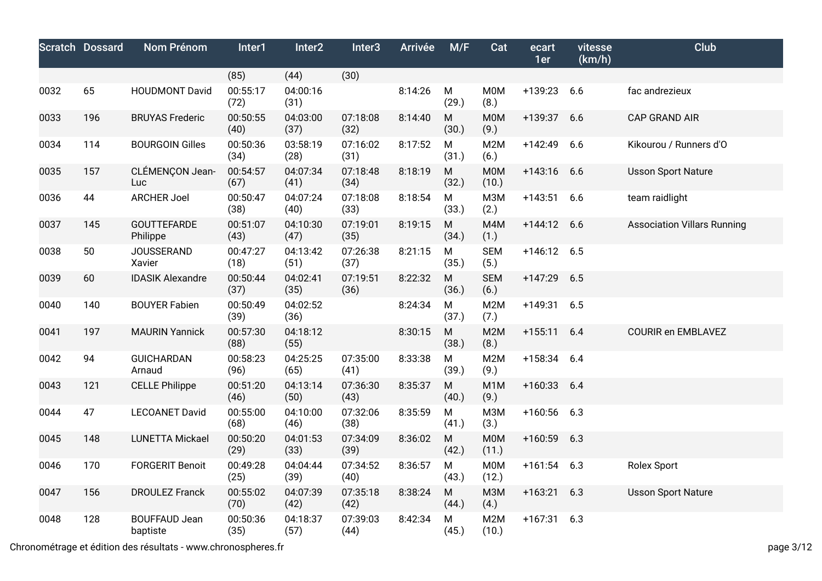|      | <b>Scratch Dossard</b> | Nom Prénom                       | Inter1           | Inter <sub>2</sub> | Inter <sub>3</sub> | <b>Arrivée</b> | M/F                | Cat                       | ecart<br>1er  | vitesse<br>(km/h) | Club                               |
|------|------------------------|----------------------------------|------------------|--------------------|--------------------|----------------|--------------------|---------------------------|---------------|-------------------|------------------------------------|
|      |                        |                                  | (85)             | (44)               | (30)               |                |                    |                           |               |                   |                                    |
| 0032 | 65                     | <b>HOUDMONT David</b>            | 00:55:17<br>(72) | 04:00:16<br>(31)   |                    | 8:14:26        | ${\sf M}$<br>(29.) | <b>M0M</b><br>(8.)        | +139:23       | 6.6               | fac andrezieux                     |
| 0033 | 196                    | <b>BRUYAS Frederic</b>           | 00:50:55<br>(40) | 04:03:00<br>(37)   | 07:18:08<br>(32)   | 8:14:40        | ${\sf M}$<br>(30.) | <b>MOM</b><br>(9.)        | $+139:37$     | 6.6               | <b>CAP GRAND AIR</b>               |
| 0034 | 114                    | <b>BOURGOIN Gilles</b>           | 00:50:36<br>(34) | 03:58:19<br>(28)   | 07:16:02<br>(31)   | 8:17:52        | ${\sf M}$<br>(31.) | M2M<br>(6.)               | $+142:49$     | 6.6               | Kikourou / Runners d'O             |
| 0035 | 157                    | CLÉMENÇON Jean-<br>Luc           | 00:54:57<br>(67) | 04:07:34<br>(41)   | 07:18:48<br>(34)   | 8:18:19        | ${\sf M}$<br>(32.) | <b>M0M</b><br>(10.)       | $+143:16$     | 6.6               | <b>Usson Sport Nature</b>          |
| 0036 | 44                     | <b>ARCHER Joel</b>               | 00:50:47<br>(38) | 04:07:24<br>(40)   | 07:18:08<br>(33)   | 8:18:54        | ${\sf M}$<br>(33.) | <b>МЗМ</b><br>(2.)        | $+143:51$     | 6.6               | team raidlight                     |
| 0037 | 145                    | <b>GOUTTEFARDE</b><br>Philippe   | 00:51:07<br>(43) | 04:10:30<br>(47)   | 07:19:01<br>(35)   | 8:19:15        | ${\sf M}$<br>(34.) | M4M<br>(1.)               | $+144:12$     | 6.6               | <b>Association Villars Running</b> |
| 0038 | 50                     | <b>JOUSSERAND</b><br>Xavier      | 00:47:27<br>(18) | 04:13:42<br>(51)   | 07:26:38<br>(37)   | 8:21:15        | ${\sf M}$<br>(35.) | <b>SEM</b><br>(5.)        | $+146:12$ 6.5 |                   |                                    |
| 0039 | 60                     | <b>IDASIK Alexandre</b>          | 00:50:44<br>(37) | 04:02:41<br>(35)   | 07:19:51<br>(36)   | 8:22:32        | ${\sf M}$<br>(36.) | <b>SEM</b><br>(6.)        | $+147:29$     | 6.5               |                                    |
| 0040 | 140                    | <b>BOUYER Fabien</b>             | 00:50:49<br>(39) | 04:02:52<br>(36)   |                    | 8:24:34        | M<br>(37.)         | M <sub>2</sub> M<br>(7.)  | $+149:31$     | 6.5               |                                    |
| 0041 | 197                    | <b>MAURIN Yannick</b>            | 00:57:30<br>(88) | 04:18:12<br>(55)   |                    | 8:30:15        | ${\sf M}$<br>(38.) | M2M<br>(8.)               | $+155:11$     | 6.4               | <b>COURIR en EMBLAVEZ</b>          |
| 0042 | 94                     | <b>GUICHARDAN</b><br>Arnaud      | 00:58:23<br>(96) | 04:25:25<br>(65)   | 07:35:00<br>(41)   | 8:33:38        | M<br>(39.)         | M2M<br>(9.)               | $+158:34$     | 6.4               |                                    |
| 0043 | 121                    | <b>CELLE Philippe</b>            | 00:51:20<br>(46) | 04:13:14<br>(50)   | 07:36:30<br>(43)   | 8:35:37        | ${\sf M}$<br>(40.) | M <sub>1</sub> M<br>(9.)  | $+160:33$     | 6.4               |                                    |
| 0044 | 47                     | <b>LECOANET David</b>            | 00:55:00<br>(68) | 04:10:00<br>(46)   | 07:32:06<br>(38)   | 8:35:59        | M<br>(41.)         | <b>МЗМ</b><br>(3.)        | $+160:56$     | 6.3               |                                    |
| 0045 | 148                    | <b>LUNETTA Mickael</b>           | 00:50:20<br>(29) | 04:01:53<br>(33)   | 07:34:09<br>(39)   | 8:36:02        | ${\sf M}$<br>(42.) | <b>MOM</b><br>(11.)       | $+160:59$     | 6.3               |                                    |
| 0046 | 170                    | <b>FORGERIT Benoit</b>           | 00:49:28<br>(25) | 04:04:44<br>(39)   | 07:34:52<br>(40)   | 8:36:57        | M<br>(43.)         | <b>M0M</b><br>(12.)       | $+161:54$     | 6.3               | Rolex Sport                        |
| 0047 | 156                    | <b>DROULEZ Franck</b>            | 00:55:02<br>(70) | 04:07:39<br>(42)   | 07:35:18<br>(42)   | 8:38:24        | ${\sf M}$<br>(44.) | <b>M3M</b><br>(4.)        | $+163:21$     | 6.3               | <b>Usson Sport Nature</b>          |
| 0048 | 128                    | <b>BOUFFAUD Jean</b><br>baptiste | 00:50:36<br>(35) | 04:18:37<br>(57)   | 07:39:03<br>(44)   | 8:42:34        | M<br>(45.)         | M <sub>2</sub> M<br>(10.) | $+167:31$     | 6.3               |                                    |

Chronométrage et édition des résultats - www.chronospheres.fr page 3/12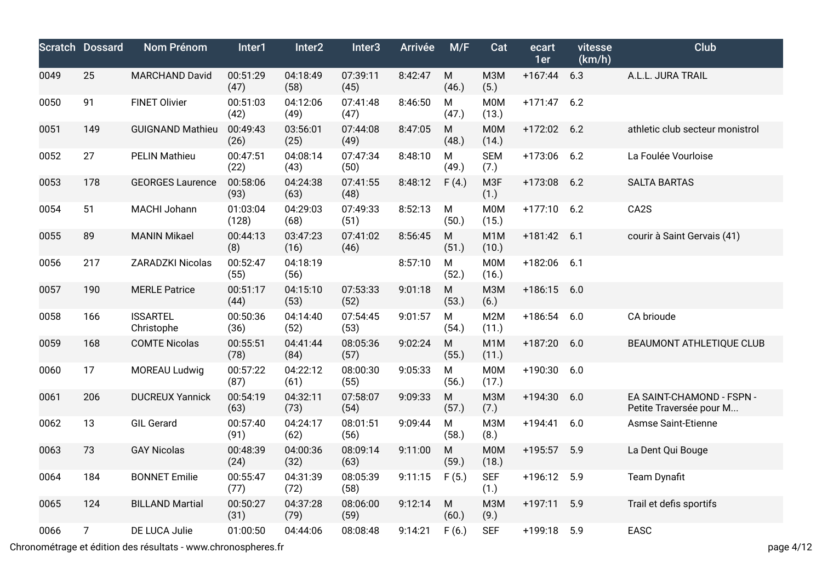|      | <b>Scratch Dossard</b> | <b>Nom Prénom</b>             | Inter1            | Inter2           | Inter <sub>3</sub> | <b>Arrivée</b> | M/F                | Cat                       | ecart<br>1er | vitesse<br>(km/h) | <b>Club</b>                                          |
|------|------------------------|-------------------------------|-------------------|------------------|--------------------|----------------|--------------------|---------------------------|--------------|-------------------|------------------------------------------------------|
| 0049 | 25                     | <b>MARCHAND David</b>         | 00:51:29<br>(47)  | 04:18:49<br>(58) | 07:39:11<br>(45)   | 8:42:47        | ${\sf M}$<br>(46.) | <b>МЗМ</b><br>(5.)        | $+167:44$    | 6.3               | A.L.L. JURA TRAIL                                    |
| 0050 | 91                     | <b>FINET Olivier</b>          | 00:51:03<br>(42)  | 04:12:06<br>(49) | 07:41:48<br>(47)   | 8:46:50        | M<br>(47.)         | <b>M0M</b><br>(13.)       | $+171:47$    | 6.2               |                                                      |
| 0051 | 149                    | <b>GUIGNAND Mathieu</b>       | 00:49:43<br>(26)  | 03:56:01<br>(25) | 07:44:08<br>(49)   | 8:47:05        | M<br>(48.)         | <b>MOM</b><br>(14.)       | $+172:02$    | 6.2               | athletic club secteur monistrol                      |
| 0052 | 27                     | <b>PELIN Mathieu</b>          | 00:47:51<br>(22)  | 04:08:14<br>(43) | 07:47:34<br>(50)   | 8:48:10        | M<br>(49.)         | <b>SEM</b><br>(7.)        | $+173:06$    | 6.2               | La Foulée Vourloise                                  |
| 0053 | 178                    | <b>GEORGES Laurence</b>       | 00:58:06<br>(93)  | 04:24:38<br>(63) | 07:41:55<br>(48)   | 8:48:12        | F(4.)              | M <sub>3F</sub><br>(1.)   | $+173:08$    | 6.2               | <b>SALTA BARTAS</b>                                  |
| 0054 | 51                     | MACHI Johann                  | 01:03:04<br>(128) | 04:29:03<br>(68) | 07:49:33<br>(51)   | 8:52:13        | ${\sf M}$<br>(50.) | <b>M0M</b><br>(15.)       | $+177:10$    | 6.2               | CA <sub>2</sub> S                                    |
| 0055 | 89                     | <b>MANIN Mikael</b>           | 00:44:13<br>(8)   | 03:47:23<br>(16) | 07:41:02<br>(46)   | 8:56:45        | ${\sf M}$<br>(51.) | M <sub>1</sub> M<br>(10.) | $+181:42$    | 6.1               | courir à Saint Gervais (41)                          |
| 0056 | 217                    | ZARADZKI Nicolas              | 00:52:47<br>(55)  | 04:18:19<br>(56) |                    | 8:57:10        | ${\sf M}$<br>(52.) | <b>M0M</b><br>(16.)       | $+182:06$    | 6.1               |                                                      |
| 0057 | 190                    | <b>MERLE Patrice</b>          | 00:51:17<br>(44)  | 04:15:10<br>(53) | 07:53:33<br>(52)   | 9:01:18        | ${\sf M}$<br>(53.) | <b>M3M</b><br>(6.)        | $+186:15$    | 6.0               |                                                      |
| 0058 | 166                    | <b>ISSARTEL</b><br>Christophe | 00:50:36<br>(36)  | 04:14:40<br>(52) | 07:54:45<br>(53)   | 9:01:57        | ${\sf M}$<br>(54.) | M <sub>2</sub> M<br>(11.) | $+186:54$    | 6.0               | CA brioude                                           |
| 0059 | 168                    | <b>COMTE Nicolas</b>          | 00:55:51<br>(78)  | 04:41:44<br>(84) | 08:05:36<br>(57)   | 9:02:24        | ${\sf M}$<br>(55.) | M <sub>1</sub> M<br>(11.) | $+187:20$    | 6.0               | <b>BEAUMONT ATHLETIQUE CLUB</b>                      |
| 0060 | 17                     | MOREAU Ludwig                 | 00:57:22<br>(87)  | 04:22:12<br>(61) | 08:00:30<br>(55)   | 9:05:33        | M<br>(56.)         | <b>M0M</b><br>(17.)       | $+190:30$    | 6.0               |                                                      |
| 0061 | 206                    | <b>DUCREUX Yannick</b>        | 00:54:19<br>(63)  | 04:32:11<br>(73) | 07:58:07<br>(54)   | 9:09:33        | M<br>(57.)         | <b>M3M</b><br>(7.)        | +194:30      | 6.0               | EA SAINT-CHAMOND - FSPN -<br>Petite Traversée pour M |
| 0062 | 13                     | <b>GIL Gerard</b>             | 00:57:40<br>(91)  | 04:24:17<br>(62) | 08:01:51<br>(56)   | 9:09:44        | M<br>(58.)         | M3M<br>(8.)               | $+194:41$    | 6.0               | <b>Asmse Saint-Etienne</b>                           |
| 0063 | 73                     | <b>GAY Nicolas</b>            | 00:48:39<br>(24)  | 04:00:36<br>(32) | 08:09:14<br>(63)   | 9:11:00        | ${\sf M}$<br>(59.) | <b>M0M</b><br>(18.)       | $+195:57$    | 5.9               | La Dent Qui Bouge                                    |
| 0064 | 184                    | <b>BONNET Emilie</b>          | 00:55:47<br>(77)  | 04:31:39<br>(72) | 08:05:39<br>(58)   | 9:11:15        | F(5.)              | <b>SEF</b><br>(1.)        | $+196:12$    | 5.9               | <b>Team Dynafit</b>                                  |
| 0065 | 124                    | <b>BILLAND Martial</b>        | 00:50:27<br>(31)  | 04:37:28<br>(79) | 08:06:00<br>(59)   | 9:12:14        | M<br>(60.)         | <b>МЗМ</b><br>(9.)        | $+197:11$    | 5.9               | Trail et defis sportifs                              |
| 0066 | $\overline{7}$         | DE LUCA Julie                 | 01:00:50          | 04:44:06         | 08:08:48           | 9:14:21        | F(6.)              | <b>SEF</b>                | $+199:18$    | 5.9               | EASC                                                 |

Chronométrage et édition des résultats - www.chronospheres.fr page 4/12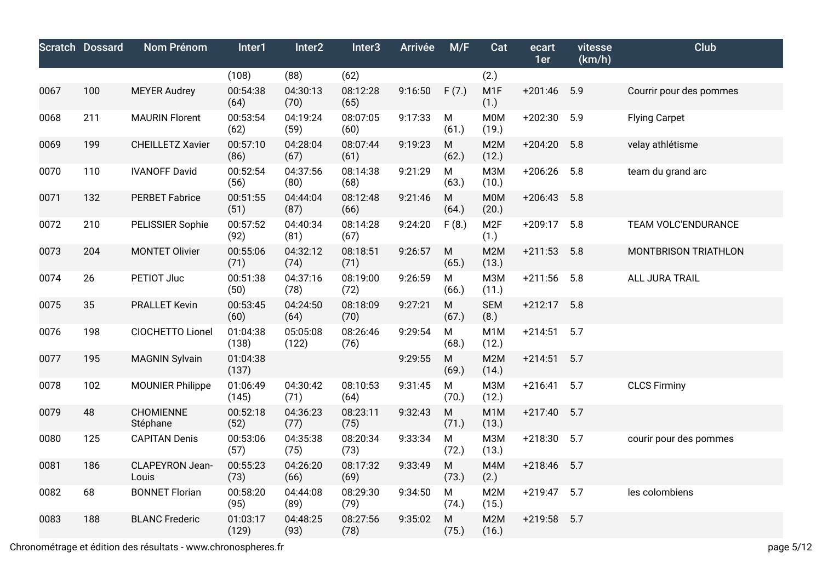|      | <b>Scratch Dossard</b> | <b>Nom Prénom</b>        | Inter1            | Inter2            | Inter <sub>3</sub> | <b>Arrivée</b> | M/F                | Cat                       | ecart<br>1er | vitesse<br>(km/h) | Club                    |
|------|------------------------|--------------------------|-------------------|-------------------|--------------------|----------------|--------------------|---------------------------|--------------|-------------------|-------------------------|
|      |                        |                          | (108)             | (88)              | (62)               |                |                    | (2.)                      |              |                   |                         |
| 0067 | 100                    | <b>MEYER Audrey</b>      | 00:54:38<br>(64)  | 04:30:13<br>(70)  | 08:12:28<br>(65)   | 9:16:50        | F(7.)              | M <sub>1</sub> F<br>(1.)  | $+201:46$    | 5.9               | Courrir pour des pommes |
| 0068 | 211                    | <b>MAURIN Florent</b>    | 00:53:54<br>(62)  | 04:19:24<br>(59)  | 08:07:05<br>(60)   | 9:17:33        | ${\sf M}$<br>(61.) | <b>M0M</b><br>(19.)       | $+202:30$    | 5.9               | <b>Flying Carpet</b>    |
| 0069 | 199                    | <b>CHEILLETZ Xavier</b>  | 00:57:10<br>(86)  | 04:28:04<br>(67)  | 08:07:44<br>(61)   | 9:19:23        | ${\sf M}$<br>(62.) | M2M<br>(12.)              | $+204:20$    | 5.8               | velay athlétisme        |
| 0070 | 110                    | <b>IVANOFF David</b>     | 00:52:54<br>(56)  | 04:37:56<br>(80)  | 08:14:38<br>(68)   | 9:21:29        | ${\sf M}$<br>(63.) | <b>МЗМ</b><br>(10.)       | $+206:26$    | 5.8               | team du grand arc       |
| 0071 | 132                    | <b>PERBET Fabrice</b>    | 00:51:55<br>(51)  | 04:44:04<br>(87)  | 08:12:48<br>(66)   | 9:21:46        | ${\sf M}$<br>(64.) | <b>M0M</b><br>(20.)       | $+206:43$    | 5.8               |                         |
| 0072 | 210                    | PELISSIER Sophie         | 00:57:52<br>(92)  | 04:40:34<br>(81)  | 08:14:28<br>(67)   | 9:24:20        | F(8.)              | M <sub>2F</sub><br>(1.)   | $+209:17$    | 5.8               | TEAM VOLC'ENDURANCE     |
| 0073 | 204                    | <b>MONTET Olivier</b>    | 00:55:06<br>(71)  | 04:32:12<br>(74)  | 08:18:51<br>(71)   | 9:26:57        | ${\sf M}$<br>(65.) | M2M<br>(13.)              | $+211:53$    | 5.8               | MONTBRISON TRIATHLON    |
| 0074 | 26                     | PETIOT Jluc              | 00:51:38<br>(50)  | 04:37:16<br>(78)  | 08:19:00<br>(72)   | 9:26:59        | ${\sf M}$<br>(66.) | <b>M3M</b><br>(11.)       | $+211:56$    | 5.8               | ALL JURA TRAIL          |
| 0075 | 35                     | <b>PRALLET Kevin</b>     | 00:53:45<br>(60)  | 04:24:50<br>(64)  | 08:18:09<br>(70)   | 9:27:21        | ${\sf M}$<br>(67.) | <b>SEM</b><br>(8.)        | $+212:17$    | 5.8               |                         |
| 0076 | 198                    | CIOCHETTO Lionel         | 01:04:38<br>(138) | 05:05:08<br>(122) | 08:26:46<br>(76)   | 9:29:54        | ${\sf M}$<br>(68.) | M <sub>1</sub> M<br>(12.) | $+214:51$    | 5.7               |                         |
| 0077 | 195                    | <b>MAGNIN Sylvain</b>    | 01:04:38<br>(137) |                   |                    | 9:29:55        | ${\sf M}$<br>(69.) | M2M<br>(14.)              | $+214:51$    | 5.7               |                         |
| 0078 | 102                    | <b>MOUNIER Philippe</b>  | 01:06:49<br>(145) | 04:30:42<br>(71)  | 08:10:53<br>(64)   | 9:31:45        | ${\sf M}$<br>(70.) | <b>МЗМ</b><br>(12.)       | $+216:41$    | 5.7               | <b>CLCS Firminy</b>     |
| 0079 | 48                     | CHOMIENNE<br>Stéphane    | 00:52:18<br>(52)  | 04:36:23<br>(77)  | 08:23:11<br>(75)   | 9:32:43        | ${\sf M}$<br>(71.) | M <sub>1</sub> M<br>(13.) | $+217:40$    | 5.7               |                         |
| 0080 | 125                    | <b>CAPITAN Denis</b>     | 00:53:06<br>(57)  | 04:35:38<br>(75)  | 08:20:34<br>(73)   | 9:33:34        | ${\sf M}$<br>(72.) | <b>МЗМ</b><br>(13.)       | $+218:30$    | 5.7               | courir pour des pommes  |
| 0081 | 186                    | CLAPEYRON Jean-<br>Louis | 00:55:23<br>(73)  | 04:26:20<br>(66)  | 08:17:32<br>(69)   | 9:33:49        | ${\sf M}$<br>(73.) | M4M<br>(2.)               | $+218:46$    | 5.7               |                         |
| 0082 | 68                     | <b>BONNET Florian</b>    | 00:58:20<br>(95)  | 04:44:08<br>(89)  | 08:29:30<br>(79)   | 9:34:50        | ${\sf M}$<br>(74.) | M <sub>2</sub> M<br>(15.) | $+219:47$    | 5.7               | les colombiens          |
| 0083 | 188                    | <b>BLANC Frederic</b>    | 01:03:17<br>(129) | 04:48:25<br>(93)  | 08:27:56<br>(78)   | 9:35:02        | ${\sf M}$<br>(75.) | M2M<br>(16.)              | $+219:58$    | 5.7               |                         |

Chronométrage et édition des résultats - www.chronospheres.fr page 5/12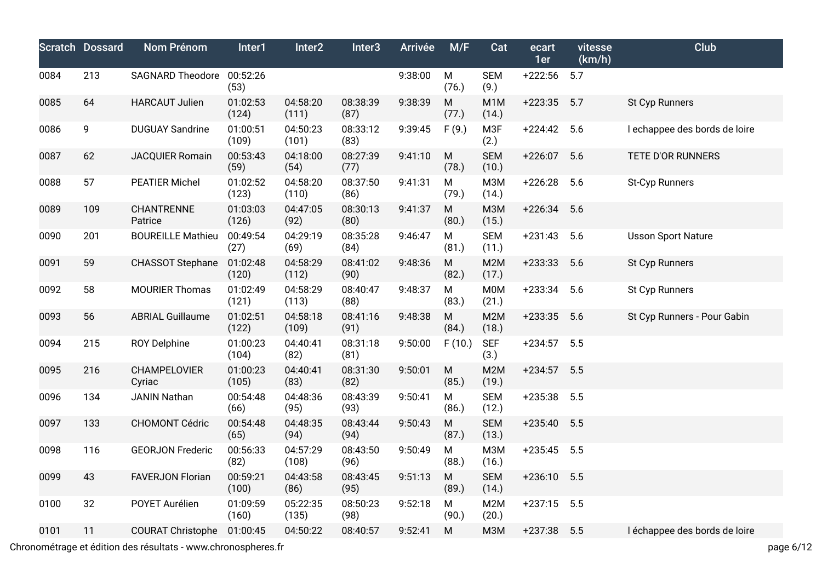|      | <b>Scratch Dossard</b> | Nom Prénom                | Inter1            | Inter <sub>2</sub> | Inter <sub>3</sub> | <b>Arrivée</b> | M/F                | Cat                       | ecart<br>1er | vitesse<br>(km/h) | Club                          |
|------|------------------------|---------------------------|-------------------|--------------------|--------------------|----------------|--------------------|---------------------------|--------------|-------------------|-------------------------------|
| 0084 | 213                    | SAGNARD Theodore 00:52:26 | (53)              |                    |                    | 9:38:00        | M<br>(76.)         | <b>SEM</b><br>(9.)        | $+222:56$    | 5.7               |                               |
| 0085 | 64                     | <b>HARCAUT Julien</b>     | 01:02:53<br>(124) | 04:58:20<br>(111)  | 08:38:39<br>(87)   | 9:38:39        | M<br>(77.)         | M <sub>1</sub> M<br>(14.) | $+223:35$    | 5.7               | St Cyp Runners                |
| 0086 | 9                      | <b>DUGUAY Sandrine</b>    | 01:00:51<br>(109) | 04:50:23<br>(101)  | 08:33:12<br>(83)   | 9:39:45        | F(9.)              | M3F<br>(2.)               | $+224:42$    | 5.6               | I echappee des bords de loire |
| 0087 | 62                     | <b>JACQUIER Romain</b>    | 00:53:43<br>(59)  | 04:18:00<br>(54)   | 08:27:39<br>(77)   | 9:41:10        | ${\sf M}$<br>(78.) | <b>SEM</b><br>(10.)       | $+226:07$    | 5.6               | TETE D'OR RUNNERS             |
| 0088 | 57                     | <b>PEATIER Michel</b>     | 01:02:52<br>(123) | 04:58:20<br>(110)  | 08:37:50<br>(86)   | 9:41:31        | M<br>(79.)         | <b>M3M</b><br>(14.)       | $+226:28$    | 5.6               | St-Cyp Runners                |
| 0089 | 109                    | CHANTRENNE<br>Patrice     | 01:03:03<br>(126) | 04:47:05<br>(92)   | 08:30:13<br>(80)   | 9:41:37        | M<br>(80.)         | <b>M3M</b><br>(15.)       | $+226:34$    | 5.6               |                               |
| 0090 | 201                    | <b>BOUREILLE Mathieu</b>  | 00:49:54<br>(27)  | 04:29:19<br>(69)   | 08:35:28<br>(84)   | 9:46:47        | M<br>(81.)         | <b>SEM</b><br>(11.)       | $+231:43$    | 5.6               | <b>Usson Sport Nature</b>     |
| 0091 | 59                     | <b>CHASSOT Stephane</b>   | 01:02:48<br>(120) | 04:58:29<br>(112)  | 08:41:02<br>(90)   | 9:48:36        | ${\sf M}$<br>(82.) | M <sub>2</sub> M<br>(17.) | $+233:33$    | 5.6               | St Cyp Runners                |
| 0092 | 58                     | <b>MOURIER Thomas</b>     | 01:02:49<br>(121) | 04:58:29<br>(113)  | 08:40:47<br>(88)   | 9:48:37        | M<br>(83.)         | <b>M0M</b><br>(21.)       | $+233:34$    | 5.6               | St Cyp Runners                |
| 0093 | 56                     | <b>ABRIAL Guillaume</b>   | 01:02:51<br>(122) | 04:58:18<br>(109)  | 08:41:16<br>(91)   | 9:48:38        | M<br>(84.)         | M <sub>2</sub> M<br>(18.) | $+233:35$    | 5.6               | St Cyp Runners - Pour Gabin   |
| 0094 | 215                    | <b>ROY Delphine</b>       | 01:00:23<br>(104) | 04:40:41<br>(82)   | 08:31:18<br>(81)   | 9:50:00        | F(10.)             | <b>SEF</b><br>(3.)        | $+234:57$    | 5.5               |                               |
| 0095 | 216                    | CHAMPELOVIER<br>Cyriac    | 01:00:23<br>(105) | 04:40:41<br>(83)   | 08:31:30<br>(82)   | 9:50:01        | ${\sf M}$<br>(85.) | M2M<br>(19.)              | $+234:57$    | 5.5               |                               |
| 0096 | 134                    | <b>JANIN Nathan</b>       | 00:54:48<br>(66)  | 04:48:36<br>(95)   | 08:43:39<br>(93)   | 9:50:41        | M<br>(86.)         | <b>SEM</b><br>(12.)       | $+235:38$    | 5.5               |                               |
| 0097 | 133                    | <b>CHOMONT Cédric</b>     | 00:54:48<br>(65)  | 04:48:35<br>(94)   | 08:43:44<br>(94)   | 9:50:43        | M<br>(87.)         | <b>SEM</b><br>(13.)       | $+235:40$    | 5.5               |                               |
| 0098 | 116                    | <b>GEORJON Frederic</b>   | 00:56:33<br>(82)  | 04:57:29<br>(108)  | 08:43:50<br>(96)   | 9:50:49        | M<br>(88.)         | <b>M3M</b><br>(16.)       | $+235:45$    | 5.5               |                               |
| 0099 | 43                     | <b>FAVERJON Florian</b>   | 00:59:21<br>(100) | 04:43:58<br>(86)   | 08:43:45<br>(95)   | 9:51:13        | ${\sf M}$<br>(89.) | <b>SEM</b><br>(14.)       | $+236:10$    | 5.5               |                               |
| 0100 | 32                     | POYET Aurélien            | 01:09:59<br>(160) | 05:22:35<br>(135)  | 08:50:23<br>(98)   | 9:52:18        | M<br>(90.)         | M2M<br>(20.)              | $+237:15$    | 5.5               |                               |
| 0101 | 11                     | <b>COURAT Christophe</b>  | 01:00:45          | 04:50:22           | 08:40:57           | 9:52:41        | ${\sf M}$          | <b>M3M</b>                | $+237:38$    | 5.5               | léchappee des bords de loire  |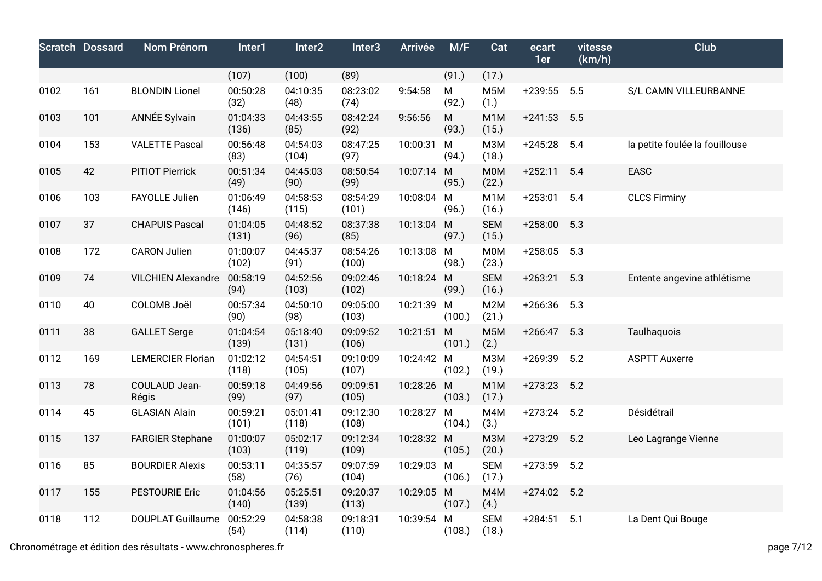|      | <b>Scratch Dossard</b> | Nom Prénom                | Inter1            | Inter2            | Inter <sub>3</sub> | Arrivée    | M/F        | Cat                       | ecart<br>1er | vitesse<br>(km/h) | <b>Club</b>                    |
|------|------------------------|---------------------------|-------------------|-------------------|--------------------|------------|------------|---------------------------|--------------|-------------------|--------------------------------|
|      |                        |                           | (107)             | (100)             | (89)               |            | (91.)      | (17.)                     |              |                   |                                |
| 0102 | 161                    | <b>BLONDIN Lionel</b>     | 00:50:28<br>(32)  | 04:10:35<br>(48)  | 08:23:02<br>(74)   | 9:54:58    | M<br>(92.) | M <sub>5</sub> M<br>(1.)  | $+239:55$    | 5.5               | S/L CAMN VILLEURBANNE          |
| 0103 | 101                    | <b>ANNÉE Sylvain</b>      | 01:04:33<br>(136) | 04:43:55<br>(85)  | 08:42:24<br>(92)   | 9:56:56    | M<br>(93.) | M <sub>1</sub> M<br>(15.) | $+241:53$    | 5.5               |                                |
| 0104 | 153                    | <b>VALETTE Pascal</b>     | 00:56:48<br>(83)  | 04:54:03<br>(104) | 08:47:25<br>(97)   | 10:00:31 M | (94.)      | <b>M3M</b><br>(18.)       | $+245:28$    | 5.4               | la petite foulée la fouillouse |
| 0105 | 42                     | PITIOT Pierrick           | 00:51:34<br>(49)  | 04:45:03<br>(90)  | 08:50:54<br>(99)   | 10:07:14 M | (95.)      | <b>MOM</b><br>(22.)       | $+252:11$    | 5.4               | EASC                           |
| 0106 | 103                    | FAYOLLE Julien            | 01:06:49<br>(146) | 04:58:53<br>(115) | 08:54:29<br>(101)  | 10:08:04 M | (96.)      | M <sub>1</sub> M<br>(16.) | $+253:01$    | 5.4               | <b>CLCS Firminy</b>            |
| 0107 | 37                     | <b>CHAPUIS Pascal</b>     | 01:04:05<br>(131) | 04:48:52<br>(96)  | 08:37:38<br>(85)   | 10:13:04 M | (97.)      | <b>SEM</b><br>(15.)       | $+258:00$    | 5.3               |                                |
| 0108 | 172                    | <b>CARON Julien</b>       | 01:00:07<br>(102) | 04:45:37<br>(91)  | 08:54:26<br>(100)  | 10:13:08 M | (98.)      | <b>M0M</b><br>(23.)       | $+258:05$    | 5.3               |                                |
| 0109 | 74                     | <b>VILCHIEN Alexandre</b> | 00:58:19<br>(94)  | 04:52:56<br>(103) | 09:02:46<br>(102)  | 10:18:24 M | (99.)      | <b>SEM</b><br>(16.)       | $+263:21$    | 5.3               | Entente angevine athlétisme    |
| 0110 | 40                     | COLOMB Joël               | 00:57:34<br>(90)  | 04:50:10<br>(98)  | 09:05:00<br>(103)  | 10:21:39 M | (100.)     | M2M<br>(21.)              | $+266:36$    | 5.3               |                                |
| 0111 | 38                     | <b>GALLET</b> Serge       | 01:04:54<br>(139) | 05:18:40<br>(131) | 09:09:52<br>(106)  | 10:21:51 M | (101.)     | M <sub>5</sub> M<br>(2.)  | $+266:47$    | 5.3               | Taulhaquois                    |
| 0112 | 169                    | <b>LEMERCIER Florian</b>  | 01:02:12<br>(118) | 04:54:51<br>(105) | 09:10:09<br>(107)  | 10:24:42 M | (102.)     | <b>МЗМ</b><br>(19.)       | $+269:39$    | 5.2               | <b>ASPTT Auxerre</b>           |
| 0113 | 78                     | COULAUD Jean-<br>Régis    | 00:59:18<br>(99)  | 04:49:56<br>(97)  | 09:09:51<br>(105)  | 10:28:26 M | (103.)     | M <sub>1</sub> M<br>(17.) | $+273:23$    | 5.2               |                                |
| 0114 | 45                     | <b>GLASIAN Alain</b>      | 00:59:21<br>(101) | 05:01:41<br>(118) | 09:12:30<br>(108)  | 10:28:27 M | (104.)     | M4M<br>(3.)               | $+273:24$    | 5.2               | Désidétrail                    |
| 0115 | 137                    | <b>FARGIER Stephane</b>   | 01:00:07<br>(103) | 05:02:17<br>(119) | 09:12:34<br>(109)  | 10:28:32 M | (105.)     | <b>МЗМ</b><br>(20.)       | $+273:29$    | 5.2               | Leo Lagrange Vienne            |
| 0116 | 85                     | <b>BOURDIER Alexis</b>    | 00:53:11<br>(58)  | 04:35:57<br>(76)  | 09:07:59<br>(104)  | 10:29:03 M | (106.)     | <b>SEM</b><br>(17.)       | $+273:59$    | 5.2               |                                |
| 0117 | 155                    | <b>PESTOURIE Eric</b>     | 01:04:56<br>(140) | 05:25:51<br>(139) | 09:20:37<br>(113)  | 10:29:05 M | (107.)     | M4M<br>(4.)               | $+274:02$    | 5.2               |                                |
| 0118 | 112                    | <b>DOUPLAT Guillaume</b>  | 00:52:29<br>(54)  | 04:58:38<br>(114) | 09:18:31<br>(110)  | 10:39:54 M | (108.)     | <b>SEM</b><br>(18.)       | $+284:51$    | 5.1               | La Dent Qui Bouge              |

Chronométrage et édition des résultats - www.chronospheres.fr page 7/12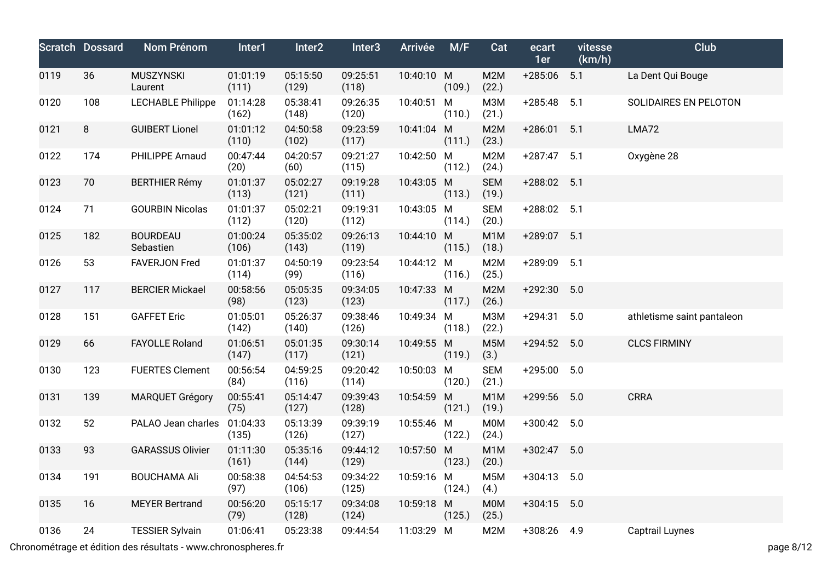|      | <b>Scratch Dossard</b> | <b>Nom Prénom</b>            | Inter1            | Inter <sub>2</sub> | Inter <sub>3</sub> | Arrivée    | M/F         | Cat                       | ecart<br>1er  | vitesse<br>(km/h) | Club                       |
|------|------------------------|------------------------------|-------------------|--------------------|--------------------|------------|-------------|---------------------------|---------------|-------------------|----------------------------|
| 0119 | 36                     | <b>MUSZYNSKI</b><br>Laurent  | 01:01:19<br>(111) | 05:15:50<br>(129)  | 09:25:51<br>(118)  | 10:40:10 M | (109.)      | M2M<br>(22.)              | $+285:06$     | 5.1               | La Dent Qui Bouge          |
| 0120 | 108                    | <b>LECHABLE Philippe</b>     | 01:14:28<br>(162) | 05:38:41<br>(148)  | 09:26:35<br>(120)  | 10:40:51   | M<br>(110.) | M3M<br>(21.)              | $+285:48$     | 5.1               | SOLIDAIRES EN PELOTON      |
| 0121 | 8                      | <b>GUIBERT Lionel</b>        | 01:01:12<br>(110) | 04:50:58<br>(102)  | 09:23:59<br>(117)  | 10:41:04 M | (111.)      | M2M<br>(23.)              | $+286:01$     | 5.1               | LMA72                      |
| 0122 | 174                    | PHILIPPE Arnaud              | 00:47:44<br>(20)  | 04:20:57<br>(60)   | 09:21:27<br>(115)  | 10:42:50 M | (112.)      | M2M<br>(24.)              | $+287:47$ 5.1 |                   | Oxygène 28                 |
| 0123 | 70                     | <b>BERTHIER Rémy</b>         | 01:01:37<br>(113) | 05:02:27<br>(121)  | 09:19:28<br>(111)  | 10:43:05 M | (113.)      | <b>SEM</b><br>(19.)       | +288:02 5.1   |                   |                            |
| 0124 | 71                     | <b>GOURBIN Nicolas</b>       | 01:01:37<br>(112) | 05:02:21<br>(120)  | 09:19:31<br>(112)  | 10:43:05 M | (114.)      | <b>SEM</b><br>(20.)       | +288:02 5.1   |                   |                            |
| 0125 | 182                    | <b>BOURDEAU</b><br>Sebastien | 01:00:24<br>(106) | 05:35:02<br>(143)  | 09:26:13<br>(119)  | 10:44:10 M | (115.)      | M1M<br>(18.)              | +289:07 5.1   |                   |                            |
| 0126 | 53                     | <b>FAVERJON Fred</b>         | 01:01:37<br>(114) | 04:50:19<br>(99)   | 09:23:54<br>(116)  | 10:44:12 M | (116.)      | M2M<br>(25.)              | +289:09       | 5.1               |                            |
| 0127 | 117                    | <b>BERCIER Mickael</b>       | 00:58:56<br>(98)  | 05:05:35<br>(123)  | 09:34:05<br>(123)  | 10:47:33 M | (117.)      | M2M<br>(26.)              | $+292:30$     | 5.0               |                            |
| 0128 | 151                    | <b>GAFFET Eric</b>           | 01:05:01<br>(142) | 05:26:37<br>(140)  | 09:38:46<br>(126)  | 10:49:34 M | (118.)      | M3M<br>(22.)              | $+294:31$     | 5.0               | athletisme saint pantaleon |
| 0129 | 66                     | <b>FAYOLLE Roland</b>        | 01:06:51<br>(147) | 05:01:35<br>(117)  | 09:30:14<br>(121)  | 10:49:55 M | (119.)      | M <sub>5</sub> M<br>(3.)  | $+294:52$ 5.0 |                   | <b>CLCS FIRMINY</b>        |
| 0130 | 123                    | <b>FUERTES Clement</b>       | 00:56:54<br>(84)  | 04:59:25<br>(116)  | 09:20:42<br>(114)  | 10:50:03 M | (120.)      | <b>SEM</b><br>(21.)       | $+295:00$     | 5.0               |                            |
| 0131 | 139                    | <b>MARQUET Grégory</b>       | 00:55:41<br>(75)  | 05:14:47<br>(127)  | 09:39:43<br>(128)  | 10:54:59 M | (121.)      | M <sub>1</sub> M<br>(19.) | +299:56       | 5.0               | <b>CRRA</b>                |
| 0132 | 52                     | PALAO Jean charles           | 01:04:33<br>(135) | 05:13:39<br>(126)  | 09:39:19<br>(127)  | 10:55:46 M | (122.)      | <b>M0M</b><br>(24.)       | $+300:42$     | 5.0               |                            |
| 0133 | 93                     | <b>GARASSUS Olivier</b>      | 01:11:30<br>(161) | 05:35:16<br>(144)  | 09:44:12<br>(129)  | 10:57:50 M | (123.)      | M1M<br>(20.)              | +302:47       | 5.0               |                            |
| 0134 | 191                    | <b>BOUCHAMA Ali</b>          | 00:58:38<br>(97)  | 04:54:53<br>(106)  | 09:34:22<br>(125)  | 10:59:16 M | (124.)      | M <sub>5</sub> M<br>(4.)  | $+304:13$ 5.0 |                   |                            |
| 0135 | 16                     | <b>MEYER Bertrand</b>        | 00:56:20<br>(79)  | 05:15:17<br>(128)  | 09:34:08<br>(124)  | 10:59:18 M | (125.)      | M0M<br>(25.)              | $+304:15$ 5.0 |                   |                            |
| 0136 | 24                     | <b>TESSIER Sylvain</b>       | 01:06:41          | 05:23:38           | 09:44:54           | 11:03:29 M |             | M2M                       | +308:26 4.9   |                   | <b>Captrail Luynes</b>     |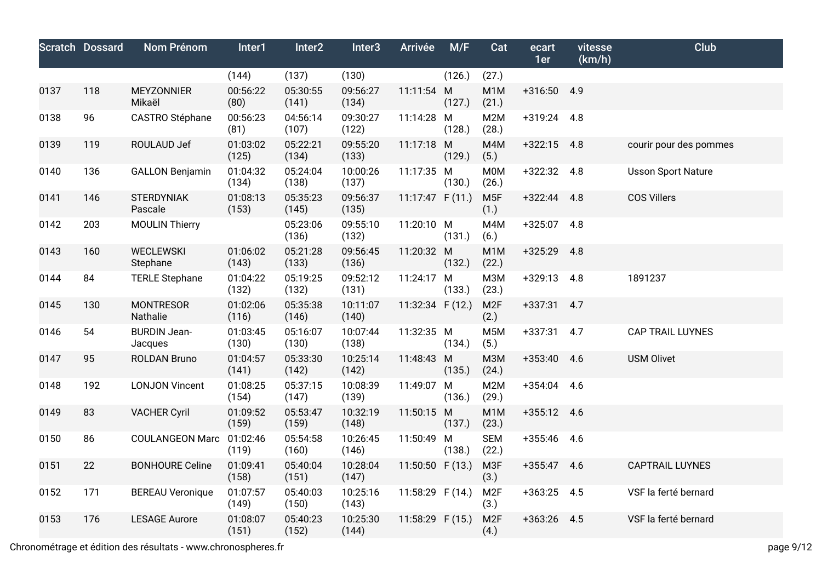|      | <b>Scratch Dossard</b> | Nom Prénom                     | Inter1            | Inter <sub>2</sub> | Inter <sub>3</sub> | Arrivée            | M/F    | Cat                       | ecart<br>1er  | vitesse<br>(km/h) | Club                      |
|------|------------------------|--------------------------------|-------------------|--------------------|--------------------|--------------------|--------|---------------------------|---------------|-------------------|---------------------------|
|      |                        |                                | (144)             | (137)              | (130)              |                    | (126.) | (27.)                     |               |                   |                           |
| 0137 | 118                    | <b>MEYZONNIER</b><br>Mikaël    | 00:56:22<br>(80)  | 05:30:55<br>(141)  | 09:56:27<br>(134)  | 11:11:54 M         | (127.) | M <sub>1</sub> M<br>(21.) | +316:50 4.9   |                   |                           |
| 0138 | 96                     | CASTRO Stéphane                | 00:56:23<br>(81)  | 04:56:14<br>(107)  | 09:30:27<br>(122)  | 11:14:28 M         | (128.) | M <sub>2</sub> M<br>(28.) | +319:24 4.8   |                   |                           |
| 0139 | 119                    | ROULAUD Jef                    | 01:03:02<br>(125) | 05:22:21<br>(134)  | 09:55:20<br>(133)  | 11:17:18 M         | (129.) | M4M<br>(5.)               | $+322:15$ 4.8 |                   | courir pour des pommes    |
| 0140 | 136                    | <b>GALLON Benjamin</b>         | 01:04:32<br>(134) | 05:24:04<br>(138)  | 10:00:26<br>(137)  | 11:17:35 M         | (130.) | <b>M0M</b><br>(26.)       | $+322:32$ 4.8 |                   | <b>Usson Sport Nature</b> |
| 0141 | 146                    | <b>STERDYNIAK</b><br>Pascale   | 01:08:13<br>(153) | 05:35:23<br>(145)  | 09:56:37<br>(135)  | 11:17:47 $F(11.)$  |        | M <sub>5F</sub><br>(1.)   | $+322:44$ 4.8 |                   | <b>COS Villers</b>        |
| 0142 | 203                    | <b>MOULIN Thierry</b>          |                   | 05:23:06<br>(136)  | 09:55:10<br>(132)  | 11:20:10 M         | (131.) | M4M<br>(6.)               | +325:07 4.8   |                   |                           |
| 0143 | 160                    | <b>WECLEWSKI</b><br>Stephane   | 01:06:02<br>(143) | 05:21:28<br>(133)  | 09:56:45<br>(136)  | 11:20:32 M         | (132.) | M <sub>1</sub> M<br>(22.) | $+325:29$ 4.8 |                   |                           |
| 0144 | 84                     | <b>TERLE Stephane</b>          | 01:04:22<br>(132) | 05:19:25<br>(132)  | 09:52:12<br>(131)  | 11:24:17 M         | (133.) | <b>МЗМ</b><br>(23.)       | $+329:13$ 4.8 |                   | 1891237                   |
| 0145 | 130                    | <b>MONTRESOR</b><br>Nathalie   | 01:02:06<br>(116) | 05:35:38<br>(146)  | 10:11:07<br>(140)  | 11:32:34 $F(12.)$  |        | M <sub>2F</sub><br>(2.)   | +337:31 4.7   |                   |                           |
| 0146 | 54                     | <b>BURDIN Jean-</b><br>Jacques | 01:03:45<br>(130) | 05:16:07<br>(130)  | 10:07:44<br>(138)  | 11:32:35 M         | (134.) | M <sub>5</sub> M<br>(5.)  | $+337:31$ 4.7 |                   | <b>CAP TRAIL LUYNES</b>   |
| 0147 | 95                     | <b>ROLDAN Bruno</b>            | 01:04:57<br>(141) | 05:33:30<br>(142)  | 10:25:14<br>(142)  | 11:48:43 M         | (135.) | M3M<br>(24.)              | $+353:40$ 4.6 |                   | <b>USM Olivet</b>         |
| 0148 | 192                    | <b>LONJON Vincent</b>          | 01:08:25<br>(154) | 05:37:15<br>(147)  | 10:08:39<br>(139)  | 11:49:07 M         | (136.) | M2M<br>(29.)              | $+354:04$ 4.6 |                   |                           |
| 0149 | 83                     | <b>VACHER Cyril</b>            | 01:09:52<br>(159) | 05:53:47<br>(159)  | 10:32:19<br>(148)  | 11:50:15 M         | (137.) | M <sub>1</sub> M<br>(23.) | +355:12 4.6   |                   |                           |
| 0150 | 86                     | COULANGEON Marc 01:02:46       | (119)             | 05:54:58<br>(160)  | 10:26:45<br>(146)  | 11:50:49 M         | (138.) | <b>SEM</b><br>(22.)       | +355:46 4.6   |                   |                           |
| 0151 | 22                     | <b>BONHOURE Celine</b>         | 01:09:41<br>(158) | 05:40:04<br>(151)  | 10:28:04<br>(147)  | 11:50:50 $F(13.)$  |        | M3F<br>(3.)               | +355:47 4.6   |                   | <b>CAPTRAIL LUYNES</b>    |
| 0152 | 171                    | <b>BEREAU Veronique</b>        | 01:07:57<br>(149) | 05:40:03<br>(150)  | 10:25:16<br>(143)  | 11:58:29 $F(14.)$  |        | M <sub>2F</sub><br>(3.)   | $+363:25$ 4.5 |                   | VSF la ferté bernard      |
| 0153 | 176                    | <b>LESAGE Aurore</b>           | 01:08:07<br>(151) | 05:40:23<br>(152)  | 10:25:30<br>(144)  | $11:58:29$ F (15.) |        | M <sub>2F</sub><br>(4.)   | $+363:26$     | 4.5               | VSF la ferté bernard      |

Chronométrage et édition des résultats - www.chronospheres.fr page 9/12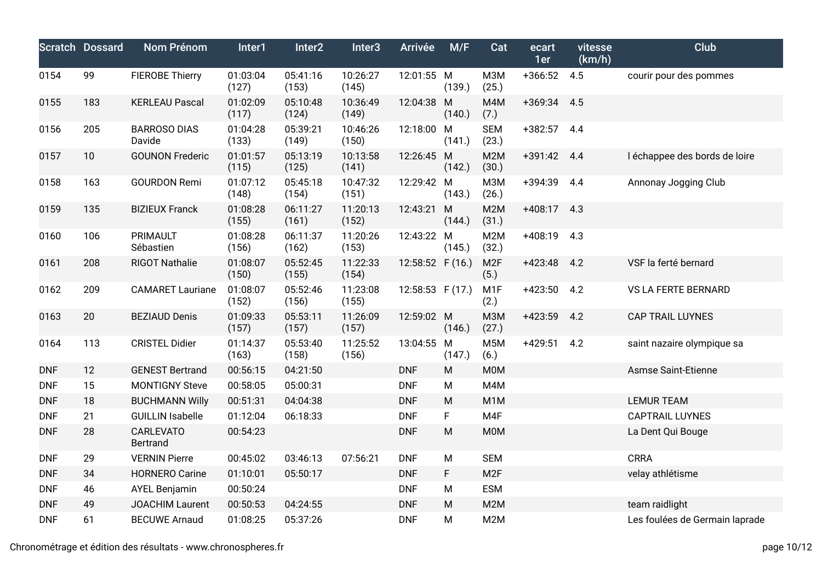|            | <b>Scratch Dossard</b> | Nom Prénom                          | Inter1            | Inter2            | Inter <sub>3</sub> | Arrivée          | M/F         | Cat                       | ecart<br>1er  | vitesse<br>(km/h) | Club                           |
|------------|------------------------|-------------------------------------|-------------------|-------------------|--------------------|------------------|-------------|---------------------------|---------------|-------------------|--------------------------------|
| 0154       | 99                     | <b>FIEROBE Thierry</b>              | 01:03:04<br>(127) | 05:41:16<br>(153) | 10:26:27<br>(145)  | 12:01:55 M       | (139.)      | <b>МЗМ</b><br>(25.)       | $+366:52$     | 4.5               | courir pour des pommes         |
| 0155       | 183                    | <b>KERLEAU Pascal</b>               | 01:02:09<br>(117) | 05:10:48<br>(124) | 10:36:49<br>(149)  | 12:04:38         | M<br>(140.) | M4M<br>(7.)               | $+369:34$ 4.5 |                   |                                |
| 0156       | 205                    | <b>BARROSO DIAS</b><br>Davide       | 01:04:28<br>(133) | 05:39:21<br>(149) | 10:46:26<br>(150)  | 12:18:00 M       | (141.)      | <b>SEM</b><br>(23.)       | $+382:57$     | 4.4               |                                |
| 0157       | 10                     | <b>GOUNON Frederic</b>              | 01:01:57<br>(115) | 05:13:19<br>(125) | 10:13:58<br>(141)  | 12:26:45 M       | (142.)      | M <sub>2</sub> M<br>(30.) | $+391:42$     | 4.4               | I échappee des bords de loire  |
| 0158       | 163                    | <b>GOURDON Remi</b>                 | 01:07:12<br>(148) | 05:45:18<br>(154) | 10:47:32<br>(151)  | 12:29:42 M       | (143.)      | <b>МЗМ</b><br>(26.)       | +394:39       | 4.4               | Annonay Jogging Club           |
| 0159       | 135                    | <b>BIZIEUX Franck</b>               | 01:08:28<br>(155) | 06:11:27<br>(161) | 11:20:13<br>(152)  | 12:43:21         | M<br>(144.) | M2M<br>(31.)              | $+408:17$     | 4.3               |                                |
| 0160       | 106                    | PRIMAULT<br>Sébastien               | 01:08:28<br>(156) | 06:11:37<br>(162) | 11:20:26<br>(153)  | 12:43:22 M       | (145.)      | M <sub>2</sub> M<br>(32.) | $+408:19$     | 4.3               |                                |
| 0161       | 208                    | <b>RIGOT Nathalie</b>               | 01:08:07<br>(150) | 05:52:45<br>(155) | 11:22:33<br>(154)  | 12:58:52 F (16.) |             | M <sub>2F</sub><br>(5.)   | $+423:48$     | 4.2               | VSF la ferté bernard           |
| 0162       | 209                    | <b>CAMARET Lauriane</b>             | 01:08:07<br>(152) | 05:52:46<br>(156) | 11:23:08<br>(155)  | 12:58:53 F (17.) |             | M <sub>1</sub> F<br>(2.)  | $+423:50$     | 4.2               | VS LA FERTE BERNARD            |
| 0163       | 20                     | <b>BEZIAUD Denis</b>                | 01:09:33<br>(157) | 05:53:11<br>(157) | 11:26:09<br>(157)  | 12:59:02 M       | (146.)      | <b>МЗМ</b><br>(27.)       | $+423:59$     | 4.2               | <b>CAP TRAIL LUYNES</b>        |
| 0164       | 113                    | <b>CRISTEL Didier</b>               | 01:14:37<br>(163) | 05:53:40<br>(158) | 11:25:52<br>(156)  | 13:04:55         | M<br>(147.) | M <sub>5</sub> M<br>(6.)  | $+429:51$     | 4.2               | saint nazaire olympique sa     |
| <b>DNF</b> | 12                     | <b>GENEST Bertrand</b>              | 00:56:15          | 04:21:50          |                    | <b>DNF</b>       | M           | <b>MOM</b>                |               |                   | Asmse Saint-Etienne            |
| <b>DNF</b> | 15                     | <b>MONTIGNY Steve</b>               | 00:58:05          | 05:00:31          |                    | <b>DNF</b>       | M           | M4M                       |               |                   |                                |
| <b>DNF</b> | 18                     | <b>BUCHMANN Willy</b>               | 00:51:31          | 04:04:38          |                    | <b>DNF</b>       | M           | M <sub>1</sub> M          |               |                   | <b>LEMUR TEAM</b>              |
| <b>DNF</b> | 21                     | <b>GUILLIN Isabelle</b>             | 01:12:04          | 06:18:33          |                    | <b>DNF</b>       | F           | M4F                       |               |                   | <b>CAPTRAIL LUYNES</b>         |
| <b>DNF</b> | 28                     | <b>CARLEVATO</b><br><b>Bertrand</b> | 00:54:23          |                   |                    | <b>DNF</b>       | ${\sf M}$   | <b>MOM</b>                |               |                   | La Dent Qui Bouge              |
| <b>DNF</b> | 29                     | <b>VERNIN Pierre</b>                | 00:45:02          | 03:46:13          | 07:56:21           | <b>DNF</b>       | ${\sf M}$   | <b>SEM</b>                |               |                   | <b>CRRA</b>                    |
| <b>DNF</b> | 34                     | <b>HORNERO Carine</b>               | 01:10:01          | 05:50:17          |                    | <b>DNF</b>       | F.          | M <sub>2F</sub>           |               |                   | velay athlétisme               |
| <b>DNF</b> | 46                     | <b>AYEL Benjamin</b>                | 00:50:24          |                   |                    | <b>DNF</b>       | M           | <b>ESM</b>                |               |                   |                                |
| <b>DNF</b> | 49                     | <b>JOACHIM Laurent</b>              | 00:50:53          | 04:24:55          |                    | <b>DNF</b>       | M           | M <sub>2</sub> M          |               |                   | team raidlight                 |
| <b>DNF</b> | 61                     | <b>BECUWE Arnaud</b>                | 01:08:25          | 05:37:26          |                    | <b>DNF</b>       | M           | M <sub>2</sub> M          |               |                   | Les foulées de Germain laprade |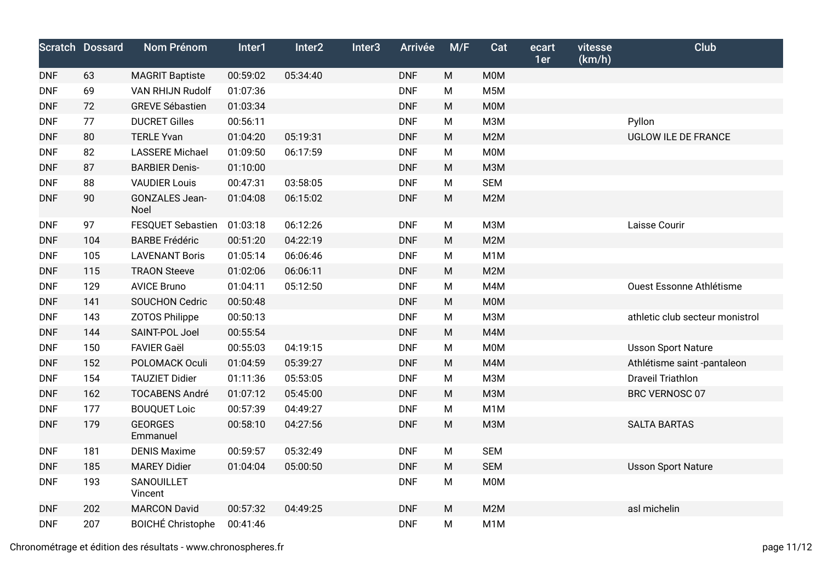|            | <b>Scratch Dossard</b> | Nom Prénom                    | Inter1   | Inter2   | Inter <sub>3</sub> | <b>Arrivée</b> | M/F       | Cat              | ecart<br>1er | vitesse<br>(km/h) | <b>Club</b>                     |
|------------|------------------------|-------------------------------|----------|----------|--------------------|----------------|-----------|------------------|--------------|-------------------|---------------------------------|
| <b>DNF</b> | 63                     | <b>MAGRIT Baptiste</b>        | 00:59:02 | 05:34:40 |                    | <b>DNF</b>     | M         | <b>M0M</b>       |              |                   |                                 |
| <b>DNF</b> | 69                     | <b>VAN RHIJN Rudolf</b>       | 01:07:36 |          |                    | <b>DNF</b>     | M         | M <sub>5</sub> M |              |                   |                                 |
| <b>DNF</b> | 72                     | <b>GREVE Sébastien</b>        | 01:03:34 |          |                    | <b>DNF</b>     | M         | <b>MOM</b>       |              |                   |                                 |
| <b>DNF</b> | 77                     | <b>DUCRET Gilles</b>          | 00:56:11 |          |                    | <b>DNF</b>     | M         | <b>МЗМ</b>       |              |                   | Pyllon                          |
| <b>DNF</b> | 80                     | <b>TERLE Yvan</b>             | 01:04:20 | 05:19:31 |                    | <b>DNF</b>     | ${\sf M}$ | M2M              |              |                   | UGLOW ILE DE FRANCE             |
| <b>DNF</b> | 82                     | <b>LASSERE Michael</b>        | 01:09:50 | 06:17:59 |                    | <b>DNF</b>     | M         | <b>M0M</b>       |              |                   |                                 |
| <b>DNF</b> | 87                     | <b>BARBIER Denis-</b>         | 01:10:00 |          |                    | <b>DNF</b>     | ${\sf M}$ | <b>МЗМ</b>       |              |                   |                                 |
| <b>DNF</b> | 88                     | <b>VAUDIER Louis</b>          | 00:47:31 | 03:58:05 |                    | <b>DNF</b>     | M         | <b>SEM</b>       |              |                   |                                 |
| <b>DNF</b> | $90\,$                 | <b>GONZALES Jean-</b><br>Noel | 01:04:08 | 06:15:02 |                    | <b>DNF</b>     | M         | M <sub>2</sub> M |              |                   |                                 |
| <b>DNF</b> | 97                     | <b>FESQUET Sebastien</b>      | 01:03:18 | 06:12:26 |                    | <b>DNF</b>     | M         | M3M              |              |                   | Laisse Courir                   |
| <b>DNF</b> | 104                    | <b>BARBE Frédéric</b>         | 00:51:20 | 04:22:19 |                    | <b>DNF</b>     | M         | M2M              |              |                   |                                 |
| <b>DNF</b> | 105                    | <b>LAVENANT Boris</b>         | 01:05:14 | 06:06:46 |                    | <b>DNF</b>     | M         | M <sub>1</sub> M |              |                   |                                 |
| <b>DNF</b> | 115                    | <b>TRAON Steeve</b>           | 01:02:06 | 06:06:11 |                    | <b>DNF</b>     | M         | M2M              |              |                   |                                 |
| <b>DNF</b> | 129                    | <b>AVICE Bruno</b>            | 01:04:11 | 05:12:50 |                    | <b>DNF</b>     | M         | M4M              |              |                   | Ouest Essonne Athlétisme        |
| <b>DNF</b> | 141                    | <b>SOUCHON Cedric</b>         | 00:50:48 |          |                    | <b>DNF</b>     | M         | <b>MOM</b>       |              |                   |                                 |
| <b>DNF</b> | 143                    | <b>ZOTOS Philippe</b>         | 00:50:13 |          |                    | <b>DNF</b>     | M         | M3M              |              |                   | athletic club secteur monistrol |
| <b>DNF</b> | 144                    | SAINT-POL Joel                | 00:55:54 |          |                    | <b>DNF</b>     | ${\sf M}$ | M4M              |              |                   |                                 |
| <b>DNF</b> | 150                    | <b>FAVIER Gaël</b>            | 00:55:03 | 04:19:15 |                    | <b>DNF</b>     | M         | <b>M0M</b>       |              |                   | <b>Usson Sport Nature</b>       |
| <b>DNF</b> | 152                    | POLOMACK Oculi                | 01:04:59 | 05:39:27 |                    | <b>DNF</b>     | M         | M4M              |              |                   | Athlétisme saint -pantaleon     |
| <b>DNF</b> | 154                    | <b>TAUZIET Didier</b>         | 01:11:36 | 05:53:05 |                    | <b>DNF</b>     | M         | <b>МЗМ</b>       |              |                   | <b>Draveil Triathlon</b>        |
| <b>DNF</b> | 162                    | <b>TOCABENS André</b>         | 01:07:12 | 05:45:00 |                    | <b>DNF</b>     | M         | <b>МЗМ</b>       |              |                   | BRC VERNOSC 07                  |
| <b>DNF</b> | 177                    | <b>BOUQUET Loic</b>           | 00:57:39 | 04:49:27 |                    | <b>DNF</b>     | M         | M <sub>1</sub> M |              |                   |                                 |
| <b>DNF</b> | 179                    | <b>GEORGES</b><br>Emmanuel    | 00:58:10 | 04:27:56 |                    | <b>DNF</b>     | ${\sf M}$ | <b>МЗМ</b>       |              |                   | <b>SALTA BARTAS</b>             |
| <b>DNF</b> | 181                    | <b>DENIS Maxime</b>           | 00:59:57 | 05:32:49 |                    | <b>DNF</b>     | M         | <b>SEM</b>       |              |                   |                                 |
| <b>DNF</b> | 185                    | <b>MAREY Didier</b>           | 01:04:04 | 05:00:50 |                    | <b>DNF</b>     | M         | <b>SEM</b>       |              |                   | <b>Usson Sport Nature</b>       |
| <b>DNF</b> | 193                    | SANOUILLET<br>Vincent         |          |          |                    | <b>DNF</b>     | M         | <b>M0M</b>       |              |                   |                                 |
| <b>DNF</b> | 202                    | <b>MARCON David</b>           | 00:57:32 | 04:49:25 |                    | <b>DNF</b>     | M         | M2M              |              |                   | asl michelin                    |
| <b>DNF</b> | 207                    | <b>BOICHÉ Christophe</b>      | 00:41:46 |          |                    | <b>DNF</b>     | M         | M <sub>1</sub> M |              |                   |                                 |